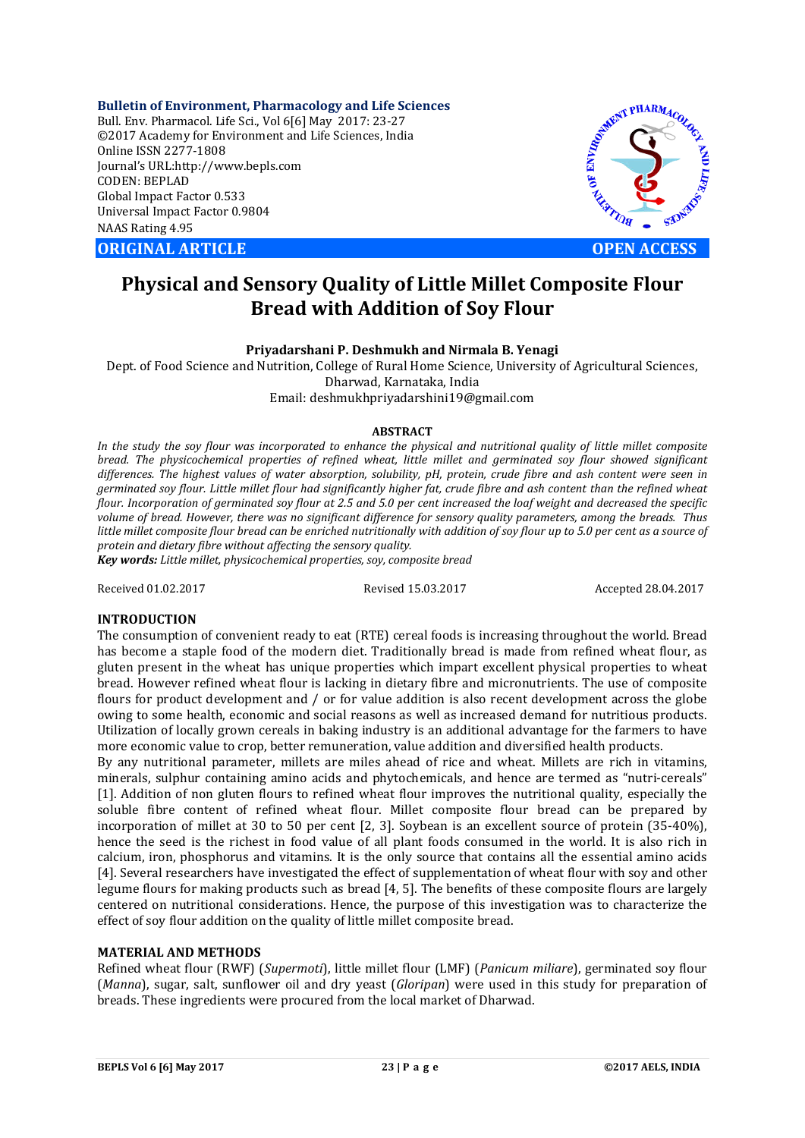**Bulletin of Environment, Pharmacology and Life Sciences** Bull. Env. Pharmacol. Life Sci., Vol 6[6] May 2017: 23-27 ©2017 Academy for Environment and Life Sciences, India Online ISSN 2277-1808 Journal's URL:http://www.bepls.com CODEN: BEPLAD Global Impact Factor 0.533 Universal Impact Factor 0.9804 NAAS Rating 4.95

**ORIGINAL ARTICLE OPEN ACCESS** 



# **Physical and Sensory Quality of Little Millet Composite Flour Bread with Addition of Soy Flour**

**Priyadarshani P. Deshmukh and Nirmala B. Yenagi**

Dept. of Food Science and Nutrition, College of Rural Home Science, University of Agricultural Sciences, Dharwad, Karnataka, India Email: deshmukhpriyadarshini19@gmail.com

#### **ABSTRACT**

*In the study the soy flour was incorporated to enhance the physical and nutritional quality of little millet composite bread. The physicochemical properties of refined wheat, little millet and germinated soy flour showed significant differences. The highest values of water absorption, solubility, pH, protein, crude fibre and ash content were seen in germinated soy flour. Little millet flour had significantly higher fat, crude fibre and ash content than the refined wheat flour. Incorporation of germinated soy flour at 2.5 and 5.0 per cent increased the loaf weight and decreased the specific volume of bread. However, there was no significant difference for sensory quality parameters, among the breads. Thus little millet composite flour bread can be enriched nutritionally with addition of soy flour up to 5.0 per cent as a source of protein and dietary fibre without affecting the sensory quality.* 

*Key words: Little millet, physicochemical properties, soy, composite bread*

Received 01.02.2017 Revised 15.03.2017 Accepted 28.04.2017

### **INTRODUCTION**

The consumption of convenient ready to eat (RTE) cereal foods is increasing throughout the world. Bread has become a staple food of the modern diet. Traditionally bread is made from refined wheat flour, as gluten present in the wheat has unique properties which impart excellent physical properties to wheat bread. However refined wheat flour is lacking in dietary fibre and micronutrients. The use of composite flours for product development and / or for value addition is also recent development across the globe owing to some health, economic and social reasons as well as increased demand for nutritious products. Utilization of locally grown cereals in baking industry is an additional advantage for the farmers to have more economic value to crop, better remuneration, value addition and diversified health products.

By any nutritional parameter, millets are miles ahead of rice and wheat. Millets are rich in vitamins, minerals, sulphur containing amino acids and phytochemicals, and hence are termed as "nutri-cereals" [1]. Addition of non gluten flours to refined wheat flour improves the nutritional quality, especially the soluble fibre content of refined wheat flour. Millet composite flour bread can be prepared by incorporation of millet at 30 to 50 per cent [2, 3]. Soybean is an excellent source of protein (35-40%), hence the seed is the richest in food value of all plant foods consumed in the world. It is also rich in calcium, iron, phosphorus and vitamins. It is the only source that contains all the essential amino acids [4]. Several researchers have investigated the effect of supplementation of wheat flour with soy and other legume flours for making products such as bread [4, 5]. The benefits of these composite flours are largely centered on nutritional considerations. Hence, the purpose of this investigation was to characterize the effect of soy flour addition on the quality of little millet composite bread.

### **MATERIAL AND METHODS**

Refined wheat flour (RWF) (*Supermoti*), little millet flour (LMF) (*Panicum miliare*), germinated soy flour (*Manna*), sugar, salt, sunflower oil and dry yeast (*Gloripan*) were used in this study for preparation of breads. These ingredients were procured from the local market of Dharwad.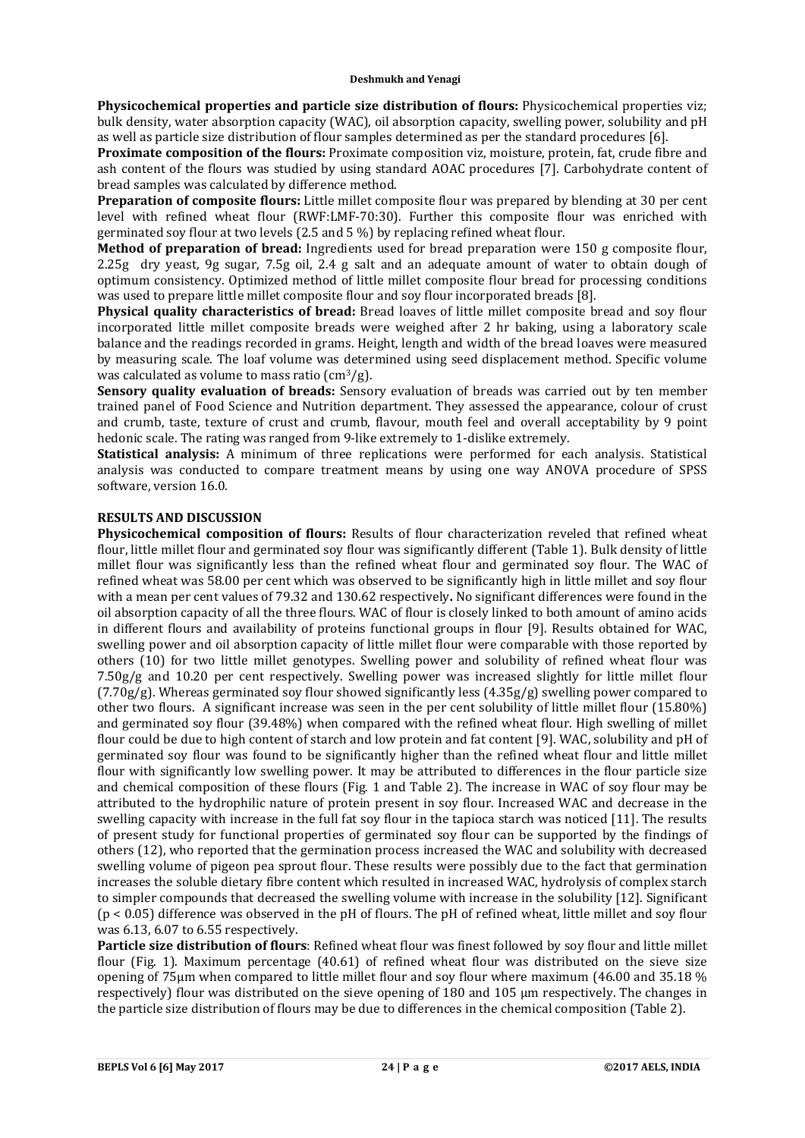**Physicochemical properties and particle size distribution of flours:** Physicochemical properties viz; bulk density, water absorption capacity (WAC), oil absorption capacity, swelling power, solubility and pH as well as particle size distribution of flour samples determined as per the standard procedures [6].

**Proximate composition of the flours:** Proximate composition viz, moisture, protein, fat, crude fibre and ash content of the flours was studied by using standard AOAC procedures [7]. Carbohydrate content of bread samples was calculated by difference method.

**Preparation of composite flours:** Little millet composite flour was prepared by blending at 30 per cent level with refined wheat flour (RWF:LMF-70:30). Further this composite flour was enriched with germinated soy flour at two levels (2.5 and 5 %) by replacing refined wheat flour.

**Method of preparation of bread:** Ingredients used for bread preparation were 150 g composite flour, 2.25g dry yeast, 9g sugar, 7.5g oil, 2.4 g salt and an adequate amount of water to obtain dough of optimum consistency. Optimized method of little millet composite flour bread for processing conditions was used to prepare little millet composite flour and soy flour incorporated breads [8].

**Physical quality characteristics of bread:** Bread loaves of little millet composite bread and soy flour incorporated little millet composite breads were weighed after 2 hr baking, using a laboratory scale balance and the readings recorded in grams. Height, length and width of the bread loaves were measured by measuring scale. The loaf volume was determined using seed displacement method. Specific volume was calculated as volume to mass ratio  $\text{cm}^3/\text{g}$ .

**Sensory quality evaluation of breads:** Sensory evaluation of breads was carried out by ten member trained panel of Food Science and Nutrition department. They assessed the appearance, colour of crust and crumb, taste, texture of crust and crumb, flavour, mouth feel and overall acceptability by 9 point hedonic scale. The rating was ranged from 9-like extremely to 1-dislike extremely.

**Statistical analysis:** A minimum of three replications were performed for each analysis. Statistical analysis was conducted to compare treatment means by using one way ANOVA procedure of SPSS software, version 16.0.

## **RESULTS AND DISCUSSION**

**Physicochemical composition of flours:** Results of flour characterization reveled that refined wheat flour, little millet flour and germinated soy flour was significantly different (Table 1). Bulk density of little millet flour was significantly less than the refined wheat flour and germinated soy flour. The WAC of refined wheat was 58.00 per cent which was observed to be significantly high in little millet and soy flour with a mean per cent values of 79.32 and 130.62 respectively**.** No significant differences were found in the oil absorption capacity of all the three flours. WAC of flour is closely linked to both amount of amino acids in different flours and availability of proteins functional groups in flour [9]. Results obtained for WAC, swelling power and oil absorption capacity of little millet flour were comparable with those reported by others (10) for two little millet genotypes. Swelling power and solubility of refined wheat flour was 7.50g/g and 10.20 per cent respectively. Swelling power was increased slightly for little millet flour (7.70g/g). Whereas germinated soy flour showed significantly less (4.35g/g) swelling power compared to other two flours. A significant increase was seen in the per cent solubility of little millet flour (15.80%) and germinated soy flour (39.48%) when compared with the refined wheat flour. High swelling of millet flour could be due to high content of starch and low protein and fat content [9]. WAC, solubility and pH of germinated soy flour was found to be significantly higher than the refined wheat flour and little millet flour with significantly low swelling power. It may be attributed to differences in the flour particle size and chemical composition of these flours (Fig. 1 and Table 2). The increase in WAC of soy flour may be attributed to the hydrophilic nature of protein present in soy flour. Increased WAC and decrease in the swelling capacity with increase in the full fat soy flour in the tapioca starch was noticed [11]. The results of present study for functional properties of germinated soy flour can be supported by the findings of others (12), who reported that the germination process increased the WAC and solubility with decreased swelling volume of pigeon pea sprout flour. These results were possibly due to the fact that germination increases the soluble dietary fibre content which resulted in increased WAC, hydrolysis of complex starch to simpler compounds that decreased the swelling volume with increase in the solubility [12]. Significant (p < 0.05) difference was observed in the pH of flours. The pH of refined wheat, little millet and soy flour was 6.13, 6.07 to 6.55 respectively.

**Particle size distribution of flours**: Refined wheat flour was finest followed by soy flour and little millet flour (Fig. 1). Maximum percentage (40.61) of refined wheat flour was distributed on the sieve size opening of 75µm when compared to little millet flour and soy flour where maximum (46.00 and 35.18 % respectively) flour was distributed on the sieve opening of 180 and 105 µm respectively. The changes in the particle size distribution of flours may be due to differences in the chemical composition (Table 2).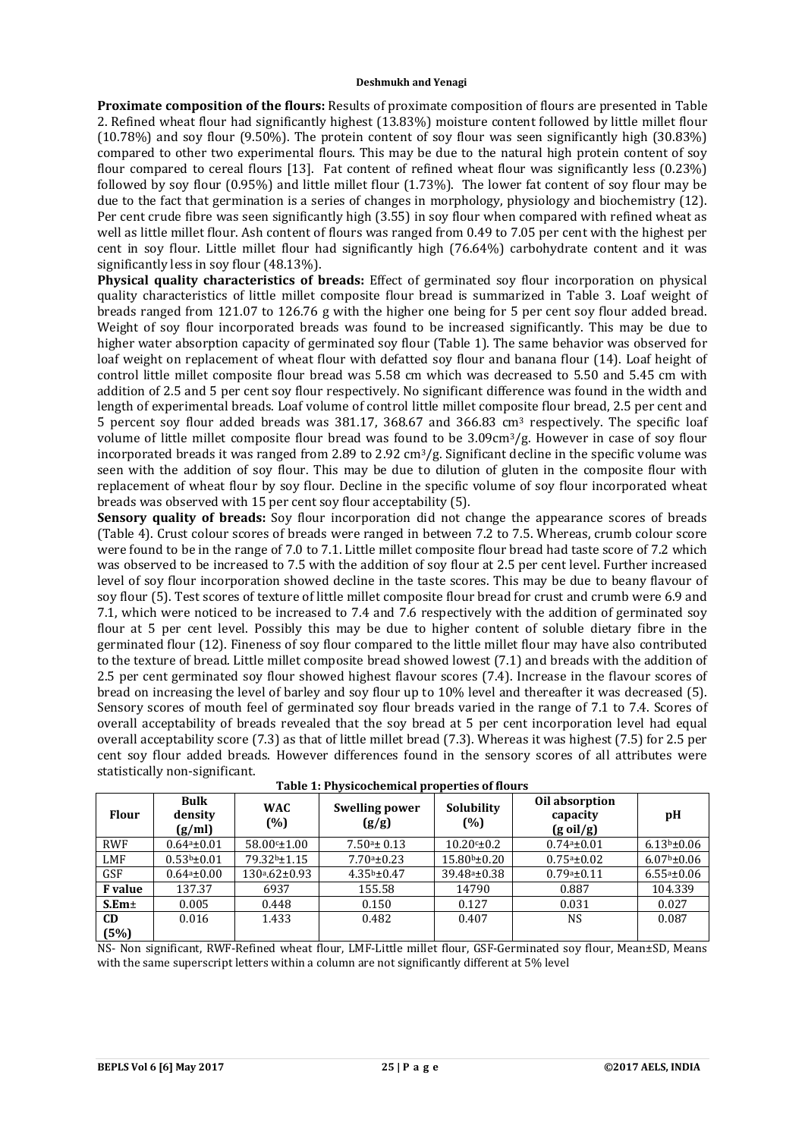#### **Deshmukh and Yenagi**

**Proximate composition of the flours:** Results of proximate composition of flours are presented in Table 2. Refined wheat flour had significantly highest (13.83%) moisture content followed by little millet flour (10.78%) and soy flour (9.50%). The protein content of soy flour was seen significantly high (30.83%) compared to other two experimental flours. This may be due to the natural high protein content of soy flour compared to cereal flours [13]. Fat content of refined wheat flour was significantly less (0.23%) followed by soy flour (0.95%) and little millet flour (1.73%). The lower fat content of soy flour may be due to the fact that germination is a series of changes in morphology, physiology and biochemistry (12). Per cent crude fibre was seen significantly high (3.55) in soy flour when compared with refined wheat as well as little millet flour. Ash content of flours was ranged from 0.49 to 7.05 per cent with the highest per cent in soy flour. Little millet flour had significantly high (76.64%) carbohydrate content and it was significantly less in soy flour (48.13%).

**Physical quality characteristics of breads:** Effect of germinated soy flour incorporation on physical quality characteristics of little millet composite flour bread is summarized in Table 3. Loaf weight of breads ranged from 121.07 to 126.76 g with the higher one being for 5 per cent soy flour added bread. Weight of soy flour incorporated breads was found to be increased significantly. This may be due to higher water absorption capacity of germinated soy flour (Table 1). The same behavior was observed for loaf weight on replacement of wheat flour with defatted soy flour and banana flour (14). Loaf height of control little millet composite flour bread was 5.58 cm which was decreased to 5.50 and 5.45 cm with addition of 2.5 and 5 per cent soy flour respectively. No significant difference was found in the width and length of experimental breads. Loaf volume of control little millet composite flour bread, 2.5 per cent and 5 percent soy flour added breads was 381.17, 368.67 and 366.83 cm3 respectively. The specific loaf volume of little millet composite flour bread was found to be  $3.09 \text{cm}^3/\text{g}$ . However in case of soy flour incorporated breads it was ranged from 2.89 to 2.92  $\text{cm}^3/\text{g}$ . Significant decline in the specific volume was seen with the addition of soy flour. This may be due to dilution of gluten in the composite flour with replacement of wheat flour by soy flour. Decline in the specific volume of soy flour incorporated wheat breads was observed with 15 per cent soy flour acceptability (5).

**Sensory quality of breads:** Soy flour incorporation did not change the appearance scores of breads (Table 4). Crust colour scores of breads were ranged in between 7.2 to 7.5. Whereas, crumb colour score were found to be in the range of 7.0 to 7.1. Little millet composite flour bread had taste score of 7.2 which was observed to be increased to 7.5 with the addition of soy flour at 2.5 per cent level. Further increased level of soy flour incorporation showed decline in the taste scores. This may be due to beany flavour of soy flour (5). Test scores of texture of little millet composite flour bread for crust and crumb were 6.9 and 7.1, which were noticed to be increased to 7.4 and 7.6 respectively with the addition of germinated soy flour at 5 per cent level. Possibly this may be due to higher content of soluble dietary fibre in the germinated flour (12). Fineness of soy flour compared to the little millet flour may have also contributed to the texture of bread. Little millet composite bread showed lowest (7.1) and breads with the addition of 2.5 per cent germinated soy flour showed highest flavour scores (7.4). Increase in the flavour scores of bread on increasing the level of barley and soy flour up to 10% level and thereafter it was decreased (5). Sensory scores of mouth feel of germinated soy flour breads varied in the range of 7.1 to 7.4. Scores of overall acceptability of breads revealed that the soy bread at 5 per cent incorporation level had equal overall acceptability score (7.3) as that of little millet bread (7.3). Whereas it was highest (7.5) for 2.5 per cent soy flour added breads. However differences found in the sensory scores of all attributes were statistically non-significant.

| <b>Flour</b>      | <b>Bulk</b><br>density<br>(g/ml) | <b>WAC</b><br>(%)        | <b>Swelling power</b><br>(g/g) | Solubility<br>(%)   | Oil absorption<br>capacity<br>$(g \text{ oil}/g)$ | pH                |
|-------------------|----------------------------------|--------------------------|--------------------------------|---------------------|---------------------------------------------------|-------------------|
| <b>RWF</b>        | $0.64a \pm 0.01$                 | $58.00 \div 1.00$        | $7.50a \pm 0.13$               | $10.20 c_{\pm} 0.2$ | $0.74a \pm 0.01$                                  | $6.13b \pm 0.06$  |
| LMF               | $0.53b \pm 0.01$                 | 79.32 <sup>b</sup> ±1.15 | $7.70a \pm 0.23$               | $15.80b \pm 0.20$   | $0.75a \pm 0.02$                                  | $6.07b \pm 0.06$  |
| <b>GSF</b>        | $0.64a_{\pm}0.00$                | $130^a.62 \pm 0.93$      | $4.35b \pm 0.47$               | $39.48a \pm 0.38$   | $0.79a \pm 0.11$                                  | $6.55a_{\pm}0.06$ |
| <b>F</b> value    | 137.37                           | 6937                     | 155.58                         | 14790               | 0.887                                             | 104.339           |
| S.Em <sup>±</sup> | 0.005                            | 0.448                    | 0.150                          | 0.127               | 0.031                                             | 0.027             |
| <b>CD</b>         | 0.016                            | 1.433                    | 0.482                          | 0.407               | NS                                                | 0.087             |
| (5%)              |                                  |                          |                                |                     |                                                   |                   |

| Table 1: Physicochemical properties of flours |  |
|-----------------------------------------------|--|
|-----------------------------------------------|--|

NS- Non significant, RWF-Refined wheat flour, LMF-Little millet flour, GSF-Germinated soy flour, Mean±SD, Means with the same superscript letters within a column are not significantly different at 5% level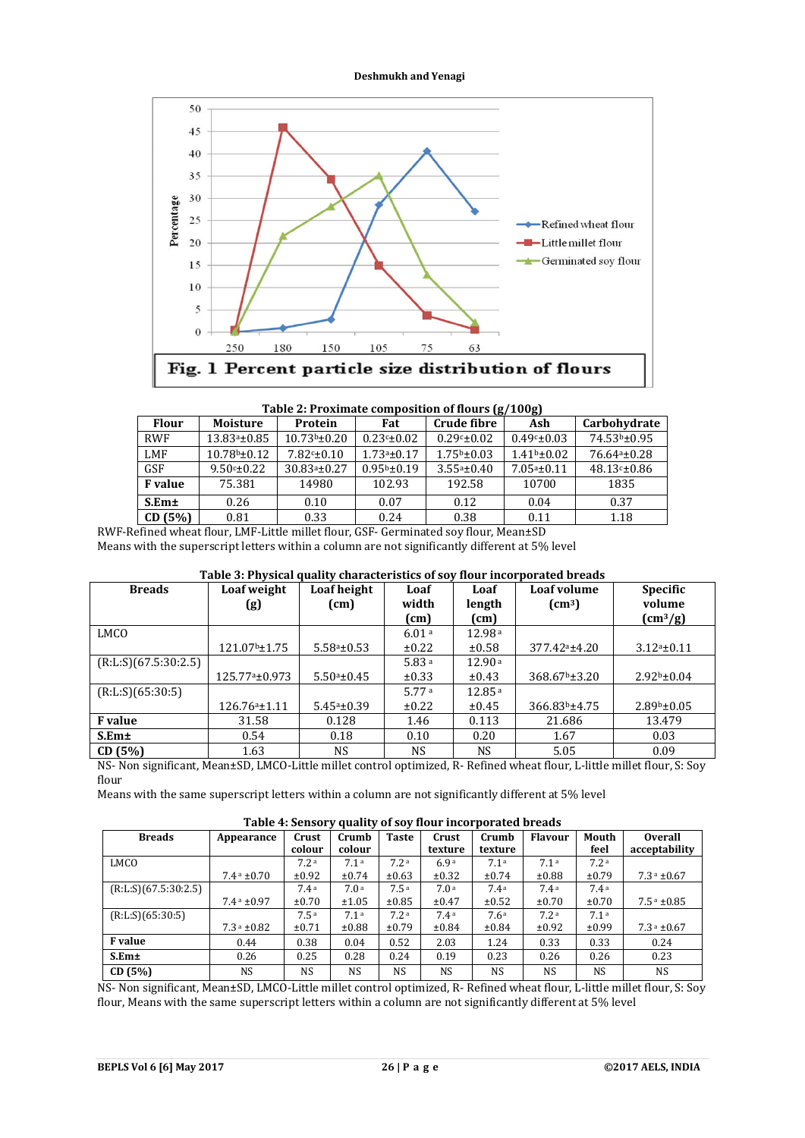#### **Deshmukh and Yenagi**



## **Table 2: Proximate composition of flours (g/100g)**

| $14010$ and $20111000$ composition of flow $\frac{1}{2}$ ( $\frac{1}{2}$ ) $\frac{1}{2}$ |                          |                          |                  |                  |                  |                          |  |  |  |
|------------------------------------------------------------------------------------------|--------------------------|--------------------------|------------------|------------------|------------------|--------------------------|--|--|--|
| <b>Flour</b>                                                                             | <b>Moisture</b>          | Protein                  | Fat              | Crude fibre      | Ash              | Carbohydrate             |  |  |  |
| <b>RWF</b>                                                                               | 13.83 <sup>a</sup> ±0.85 | $10.73b \pm 0.20$        | $0.23c + 0.02$   | $0.29c \pm 0.02$ | $0.49c \pm 0.03$ | 74.53 <sup>b</sup> ±0.95 |  |  |  |
| LMF                                                                                      | $10.78b \pm 0.12$        | $7.82 \pm 0.10$          | $1.73a \pm 0.17$ | $1.75b \pm 0.03$ | $1.41b \pm 0.02$ | $76.64a \pm 0.28$        |  |  |  |
| <b>GSF</b>                                                                               | $9.50 \times 0.22$       | 30.83 <sup>a</sup> ±0.27 | $0.95b \pm 0.19$ | $3.55a \pm 0.40$ | $7.05a \pm 0.11$ | $48.13 \times 10.86$     |  |  |  |
| <b>F</b> value                                                                           | 75.381                   | 14980                    | 102.93           | 192.58           | 10700            | 1835                     |  |  |  |
| S.Em±                                                                                    | 0.26                     | 0.10                     | 0.07             | 0.12             | 0.04             | 0.37                     |  |  |  |
| CD(5%)                                                                                   | 0.81                     | 0.33                     | 0.24             | 0.38             | 0.11             | 1.18                     |  |  |  |

RWF-Refined wheat flour, LMF-Little millet flour, GSF- Germinated soy flour, Mean±SD Means with the superscript letters within a column are not significantly different at 5% level

| <b>Breads</b>           | Loaf weight                | Loaf height      | Loaf              | Loaf               | <b>Loaf volume</b>        | <b>Specific</b>                             |
|-------------------------|----------------------------|------------------|-------------------|--------------------|---------------------------|---------------------------------------------|
|                         | (g)                        | (cm)             | width             | length             | $\text{cm}^3$             | volume                                      |
|                         |                            |                  | (cm)              | (cm)               |                           | $\left(\frac{\text{cm}^3}{\text{g}}\right)$ |
| LMCO                    |                            |                  | 6.01a             | 12.98 <sup>a</sup> |                           |                                             |
|                         | 121.07b±1.75               | $5.58a \pm 0.53$ | $\pm 0.22$        | $\pm 0.58$         | 377.42 <sup>a</sup> ±4.20 | $3.12a \pm 0.11$                            |
| (R: L: S) (67.5:30:2.5) |                            |                  | 5.83 <sup>a</sup> | 12.90 <sup>a</sup> |                           |                                             |
|                         | 125.77 <sup>a</sup> ±0.973 | $5.50a \pm 0.45$ | $\pm 0.33$        | $\pm 0.43$         | $368.67b\pm3.20$          | $2.92b \pm 0.04$                            |
| (R:L:S)(65:30:5)        |                            |                  | 5.77 <sup>a</sup> | 12.85 <sup>a</sup> |                           |                                             |
|                         | 126.76 <sup>a</sup> ±1.11  | $5.45a \pm 0.39$ | $\pm 0.22$        | $\pm 0.45$         | 366.83 <sup>b</sup> ±4.75 | $2.89b \pm 0.05$                            |
| <b>F</b> value          | 31.58                      | 0.128            | 1.46              | 0.113              | 21.686                    | 13.479                                      |
| S.Em±                   | 0.54                       | 0.18             | 0.10              | 0.20               | 1.67                      | 0.03                                        |
| CD(5%)                  | 1.63                       | NS.              | NS                | NS.                | 5.05                      | 0.09                                        |

## **Table 3: Physical quality characteristics of soy flour incorporated breads**

NS- Non significant, Mean±SD, LMCO-Little millet control optimized, R- Refined wheat flour, L-little millet flour, S: Soy flour

Means with the same superscript letters within a column are not significantly different at 5% level

**Table 4: Sensory quality of soy flour incorporated breads**

| <b>Breads</b>        | Appearance               | Crust            | Crumb            | <b>Taste</b>     | Crust            | Crumb            | <b>Flavour</b>   | Mouth            | <b>Overall</b>           |
|----------------------|--------------------------|------------------|------------------|------------------|------------------|------------------|------------------|------------------|--------------------------|
|                      |                          | colour           | colour           |                  | texture          | texture          |                  | feel             | acceptability            |
| <b>LMCO</b>          |                          | 7.2 <sup>a</sup> | 7.1 <sup>a</sup> | 7.2 <sup>a</sup> | 6.9a             | 7.1 <sup>a</sup> | 7.1 <sup>a</sup> | 7.2 <sup>a</sup> |                          |
|                      | $7.4^{\text{ a}}$ ±0.70  | ±0.92            | $\pm 0.74$       | ±0.63            | $\pm 0.32$       | $\pm 0.74$       | ±0.88            | ±0.79            | $7.3a \pm 0.67$          |
| (R:L:S)(67.5:30:2.5) |                          | 7.4a             | 7.0 <sup>a</sup> | 7.5a             | 7.0 <sup>a</sup> | 7.4a             | 7.4a             | 7.4a             |                          |
|                      | $7.4a \pm 0.97$          | ±0.70            | ±1.05            | ±0.85            | $\pm 0.47$       | ±0.52            | ±0.70            | ±0.70            | $7.5^{\text{ a}}\pm0.85$ |
| (R: L: S)(65:30:5)   |                          | 7.5 <sup>a</sup> | 7.1 <sup>a</sup> | 7.2 <sup>a</sup> | 7.4a             | 7.6 <sup>a</sup> | 7.2 <sup>a</sup> | 7.1 <sup>a</sup> |                          |
|                      | $7.3^{\text{ a}}\pm0.82$ | ±0.71            | ±0.88            | ±0.79            | ±0.84            | ±0.84            | ±0.92            | ±0.99            | $7.3^{\text{ a}}\pm0.67$ |
| <b>F</b> value       | 0.44                     | 0.38             | 0.04             | 0.52             | 2.03             | 1.24             | 0.33             | 0.33             | 0.24                     |
| S.Em±                | 0.26                     | 0.25             | 0.28             | 0.24             | 0.19             | 0.23             | 0.26             | 0.26             | 0.23                     |
| CD(5%)               | <b>NS</b>                | <b>NS</b>        | N <sub>S</sub>   | <b>NS</b>        | <b>NS</b>        | N <sub>S</sub>   | <b>NS</b>        | <b>NS</b>        | <b>NS</b>                |

NS- Non significant, Mean±SD, LMCO-Little millet control optimized, R- Refined wheat flour, L-little millet flour, S: Soy flour, Means with the same superscript letters within a column are not significantly different at 5% level